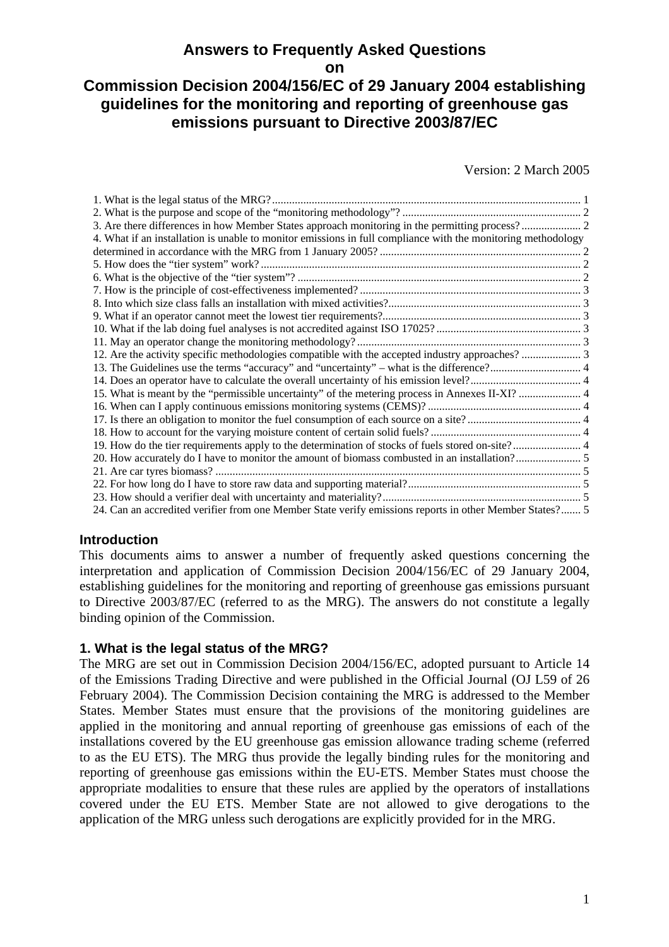## **Answers to Frequently Asked Questions**

**on** 

# **Commission Decision 2004/156/EC of 29 January 2004 establishing guidelines for the monitoring and reporting of greenhouse gas emissions pursuant to Directive 2003/87/EC**

Version: 2 March 2005

| 4. What if an installation is unable to monitor emissions in full compliance with the monitoring methodology |  |
|--------------------------------------------------------------------------------------------------------------|--|
|                                                                                                              |  |
|                                                                                                              |  |
|                                                                                                              |  |
|                                                                                                              |  |
|                                                                                                              |  |
|                                                                                                              |  |
|                                                                                                              |  |
|                                                                                                              |  |
|                                                                                                              |  |
|                                                                                                              |  |
|                                                                                                              |  |
|                                                                                                              |  |
|                                                                                                              |  |
|                                                                                                              |  |
|                                                                                                              |  |
| 19. How do the tier requirements apply to the determination of stocks of fuels stored on-site? 4             |  |
|                                                                                                              |  |
|                                                                                                              |  |
|                                                                                                              |  |
|                                                                                                              |  |
| 24. Can an accredited verifier from one Member State verify emissions reports in other Member States? 5      |  |

## **Introduction**

This documents aims to answer a number of frequently asked questions concerning the interpretation and application of Commission Decision 2004/156/EC of 29 January 2004, establishing guidelines for the monitoring and reporting of greenhouse gas emissions pursuant to Directive 2003/87/EC (referred to as the MRG). The answers do not constitute a legally binding opinion of the Commission.

#### **1. What is the legal status of the MRG?**

The MRG are set out in Commission Decision 2004/156/EC, adopted pursuant to Article 14 of the Emissions Trading Directive and were published in the Official Journal (OJ L59 of 26 February 2004). The Commission Decision containing the MRG is addressed to the Member States. Member States must ensure that the provisions of the monitoring guidelines are applied in the monitoring and annual reporting of greenhouse gas emissions of each of the installations covered by the EU greenhouse gas emission allowance trading scheme (referred to as the EU ETS). The MRG thus provide the legally binding rules for the monitoring and reporting of greenhouse gas emissions within the EU-ETS. Member States must choose the appropriate modalities to ensure that these rules are applied by the operators of installations covered under the EU ETS. Member State are not allowed to give derogations to the application of the MRG unless such derogations are explicitly provided for in the MRG.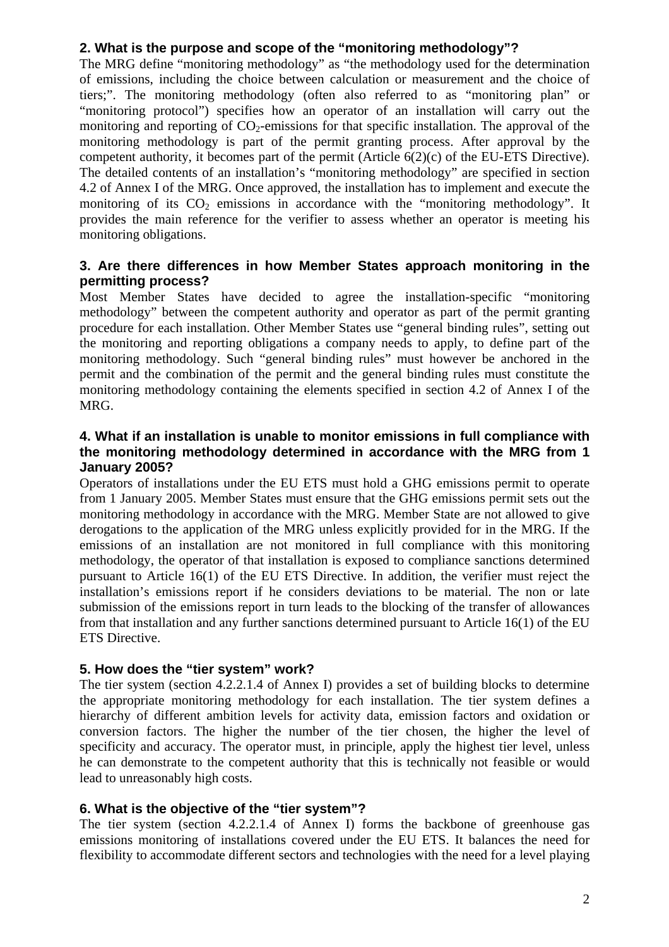## **2. What is the purpose and scope of the "monitoring methodology"?**

The MRG define "monitoring methodology" as "the methodology used for the determination of emissions, including the choice between calculation or measurement and the choice of tiers;". The monitoring methodology (often also referred to as "monitoring plan" or "monitoring protocol") specifies how an operator of an installation will carry out the monitoring and reporting of  $CO<sub>2</sub>$ -emissions for that specific installation. The approval of the monitoring methodology is part of the permit granting process. After approval by the competent authority, it becomes part of the permit (Article 6(2)(c) of the EU-ETS Directive). The detailed contents of an installation's "monitoring methodology" are specified in section 4.2 of Annex I of the MRG. Once approved, the installation has to implement and execute the monitoring of its  $CO<sub>2</sub>$  emissions in accordance with the "monitoring methodology". It provides the main reference for the verifier to assess whether an operator is meeting his monitoring obligations.

## **3. Are there differences in how Member States approach monitoring in the permitting process?**

Most Member States have decided to agree the installation-specific "monitoring methodology" between the competent authority and operator as part of the permit granting procedure for each installation. Other Member States use "general binding rules", setting out the monitoring and reporting obligations a company needs to apply, to define part of the monitoring methodology. Such "general binding rules" must however be anchored in the permit and the combination of the permit and the general binding rules must constitute the monitoring methodology containing the elements specified in section 4.2 of Annex I of the MRG.

#### **4. What if an installation is unable to monitor emissions in full compliance with the monitoring methodology determined in accordance with the MRG from 1 January 2005?**

Operators of installations under the EU ETS must hold a GHG emissions permit to operate from 1 January 2005. Member States must ensure that the GHG emissions permit sets out the monitoring methodology in accordance with the MRG. Member State are not allowed to give derogations to the application of the MRG unless explicitly provided for in the MRG. If the emissions of an installation are not monitored in full compliance with this monitoring methodology, the operator of that installation is exposed to compliance sanctions determined pursuant to Article 16(1) of the EU ETS Directive. In addition, the verifier must reject the installation's emissions report if he considers deviations to be material. The non or late submission of the emissions report in turn leads to the blocking of the transfer of allowances from that installation and any further sanctions determined pursuant to Article 16(1) of the EU ETS Directive.

#### **5. How does the "tier system" work?**

The tier system (section 4.2.2.1.4 of Annex I) provides a set of building blocks to determine the appropriate monitoring methodology for each installation. The tier system defines a hierarchy of different ambition levels for activity data, emission factors and oxidation or conversion factors. The higher the number of the tier chosen, the higher the level of specificity and accuracy. The operator must, in principle, apply the highest tier level, unless he can demonstrate to the competent authority that this is technically not feasible or would lead to unreasonably high costs.

#### **6. What is the objective of the "tier system"?**

The tier system (section 4.2.2.1.4 of Annex I) forms the backbone of greenhouse gas emissions monitoring of installations covered under the EU ETS. It balances the need for flexibility to accommodate different sectors and technologies with the need for a level playing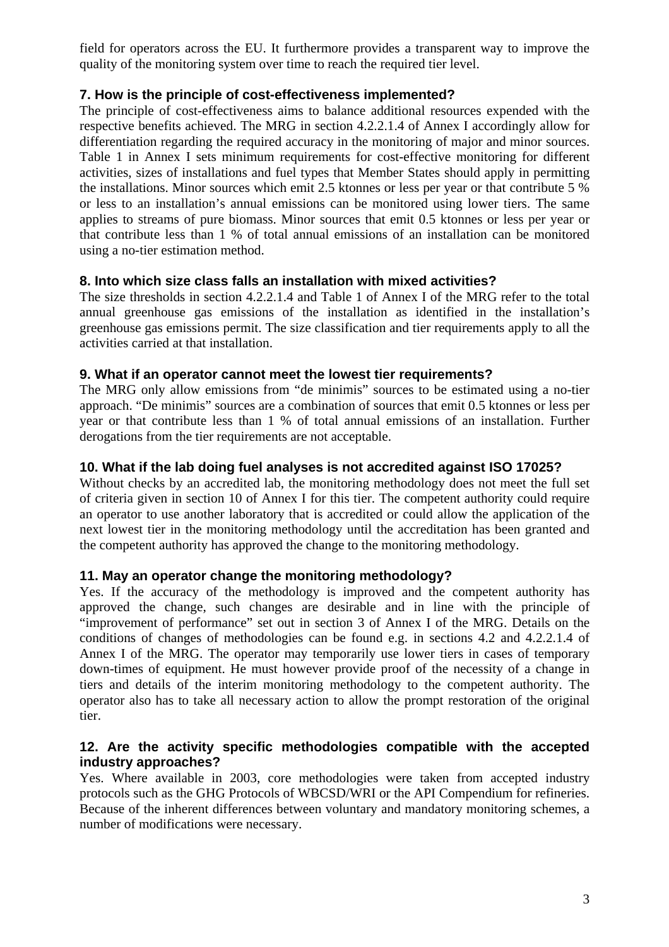field for operators across the EU. It furthermore provides a transparent way to improve the quality of the monitoring system over time to reach the required tier level.

## **7. How is the principle of cost-effectiveness implemented?**

The principle of cost-effectiveness aims to balance additional resources expended with the respective benefits achieved. The MRG in section 4.2.2.1.4 of Annex I accordingly allow for differentiation regarding the required accuracy in the monitoring of major and minor sources. Table 1 in Annex I sets minimum requirements for cost-effective monitoring for different activities, sizes of installations and fuel types that Member States should apply in permitting the installations. Minor sources which emit 2.5 ktonnes or less per year or that contribute 5 % or less to an installation's annual emissions can be monitored using lower tiers. The same applies to streams of pure biomass. Minor sources that emit 0.5 ktonnes or less per year or that contribute less than 1 % of total annual emissions of an installation can be monitored using a no-tier estimation method.

## **8. Into which size class falls an installation with mixed activities?**

The size thresholds in section 4.2.2.1.4 and Table 1 of Annex I of the MRG refer to the total annual greenhouse gas emissions of the installation as identified in the installation's greenhouse gas emissions permit. The size classification and tier requirements apply to all the activities carried at that installation.

## **9. What if an operator cannot meet the lowest tier requirements?**

The MRG only allow emissions from "de minimis" sources to be estimated using a no-tier approach. "De minimis" sources are a combination of sources that emit 0.5 ktonnes or less per year or that contribute less than 1 % of total annual emissions of an installation. Further derogations from the tier requirements are not acceptable.

## **10. What if the lab doing fuel analyses is not accredited against ISO 17025?**

Without checks by an accredited lab, the monitoring methodology does not meet the full set of criteria given in section 10 of Annex I for this tier. The competent authority could require an operator to use another laboratory that is accredited or could allow the application of the next lowest tier in the monitoring methodology until the accreditation has been granted and the competent authority has approved the change to the monitoring methodology.

## **11. May an operator change the monitoring methodology?**

Yes. If the accuracy of the methodology is improved and the competent authority has approved the change, such changes are desirable and in line with the principle of "improvement of performance" set out in section 3 of Annex I of the MRG. Details on the conditions of changes of methodologies can be found e.g. in sections 4.2 and 4.2.2.1.4 of Annex I of the MRG. The operator may temporarily use lower tiers in cases of temporary down-times of equipment. He must however provide proof of the necessity of a change in tiers and details of the interim monitoring methodology to the competent authority. The operator also has to take all necessary action to allow the prompt restoration of the original tier.

#### **12. Are the activity specific methodologies compatible with the accepted industry approaches?**

Yes. Where available in 2003, core methodologies were taken from accepted industry protocols such as the GHG Protocols of WBCSD/WRI or the API Compendium for refineries. Because of the inherent differences between voluntary and mandatory monitoring schemes, a number of modifications were necessary.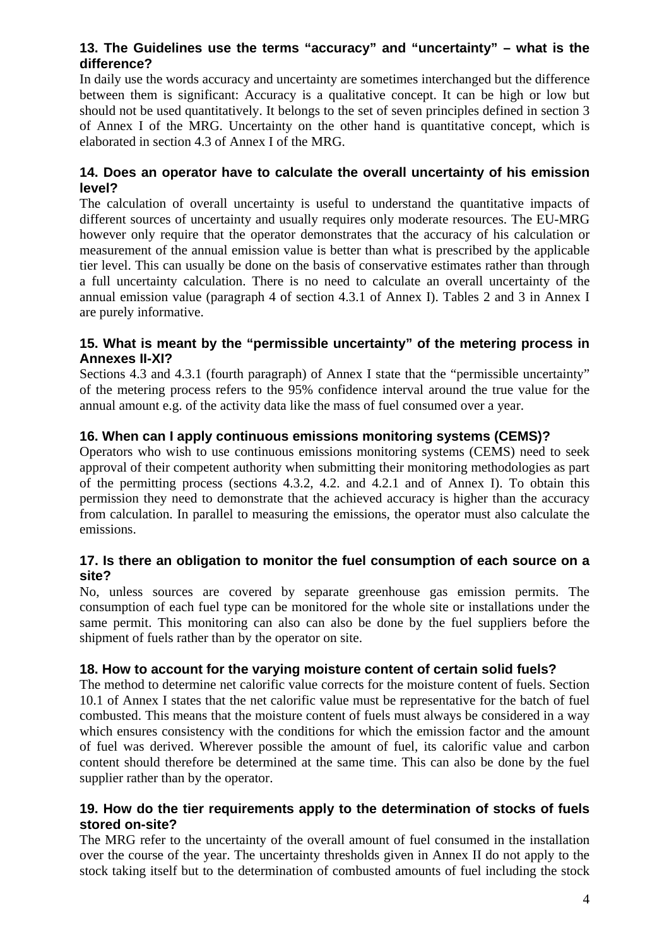## **13. The Guidelines use the terms "accuracy" and "uncertainty" – what is the difference?**

In daily use the words accuracy and uncertainty are sometimes interchanged but the difference between them is significant: Accuracy is a qualitative concept. It can be high or low but should not be used quantitatively. It belongs to the set of seven principles defined in section 3 of Annex I of the MRG. Uncertainty on the other hand is quantitative concept, which is elaborated in section 4.3 of Annex I of the MRG.

#### **14. Does an operator have to calculate the overall uncertainty of his emission level?**

The calculation of overall uncertainty is useful to understand the quantitative impacts of different sources of uncertainty and usually requires only moderate resources. The EU-MRG however only require that the operator demonstrates that the accuracy of his calculation or measurement of the annual emission value is better than what is prescribed by the applicable tier level. This can usually be done on the basis of conservative estimates rather than through a full uncertainty calculation. There is no need to calculate an overall uncertainty of the annual emission value (paragraph 4 of section 4.3.1 of Annex I). Tables 2 and 3 in Annex I are purely informative.

#### **15. What is meant by the "permissible uncertainty" of the metering process in Annexes II-XI?**

Sections 4.3 and 4.3.1 (fourth paragraph) of Annex I state that the "permissible uncertainty" of the metering process refers to the 95% confidence interval around the true value for the annual amount e.g. of the activity data like the mass of fuel consumed over a year.

## **16. When can I apply continuous emissions monitoring systems (CEMS)?**

Operators who wish to use continuous emissions monitoring systems (CEMS) need to seek approval of their competent authority when submitting their monitoring methodologies as part of the permitting process (sections 4.3.2, 4.2. and 4.2.1 and of Annex I). To obtain this permission they need to demonstrate that the achieved accuracy is higher than the accuracy from calculation. In parallel to measuring the emissions, the operator must also calculate the emissions.

## **17. Is there an obligation to monitor the fuel consumption of each source on a site?**

No, unless sources are covered by separate greenhouse gas emission permits. The consumption of each fuel type can be monitored for the whole site or installations under the same permit. This monitoring can also can also be done by the fuel suppliers before the shipment of fuels rather than by the operator on site.

#### **18. How to account for the varying moisture content of certain solid fuels?**

The method to determine net calorific value corrects for the moisture content of fuels. Section 10.1 of Annex I states that the net calorific value must be representative for the batch of fuel combusted. This means that the moisture content of fuels must always be considered in a way which ensures consistency with the conditions for which the emission factor and the amount of fuel was derived. Wherever possible the amount of fuel, its calorific value and carbon content should therefore be determined at the same time. This can also be done by the fuel supplier rather than by the operator.

#### **19. How do the tier requirements apply to the determination of stocks of fuels stored on-site?**

The MRG refer to the uncertainty of the overall amount of fuel consumed in the installation over the course of the year. The uncertainty thresholds given in Annex II do not apply to the stock taking itself but to the determination of combusted amounts of fuel including the stock